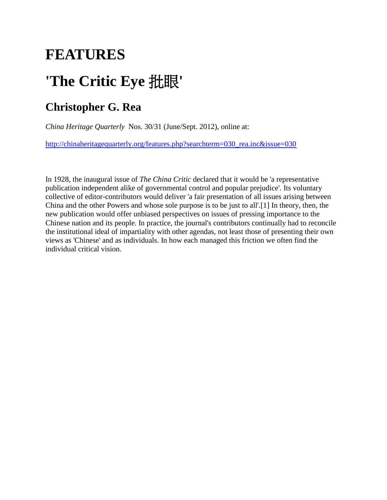## **FEATURES**

# **'The Critic Eye** 批眼**'**

### **Christopher G. Rea**

*China Heritage Quarterly* Nos. 30/31 (June/Sept. 2012), online at:

[http://chinaheritagequarterly.org/features.php?searchterm=030\\_rea.inc&issue=030](http://chinaheritagequarterly.org/features.php?searchterm=030_rea.inc&issue=030)

In 1928, the inaugural issue of *The China Critic* declared that it would be 'a representative publication independent alike of governmental control and popular prejudice'. Its voluntary collective of editor-contributors would deliver 'a fair presentation of all issues arising between China and the other Powers and whose sole purpose is to be just to all'.[1] In theory, then, the new publication would offer unbiased perspectives on issues of pressing importance to the Chinese nation and its people. In practice, the journal's contributors continually had to reconcile the institutional ideal of impartiality with other agendas, not least those of presenting their own views as 'Chinese' and as individuals. In how each managed this friction we often find the individual critical vision.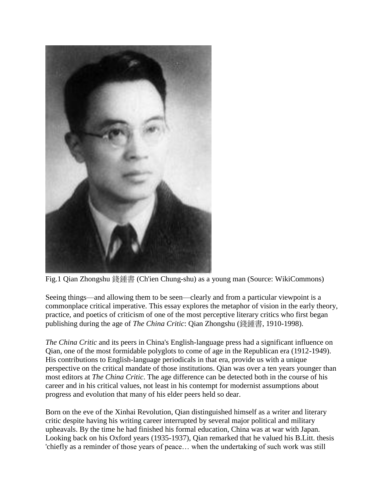

Fig.1 Qian Zhongshu 錢鍾書 (Ch'ien Chung-shu) as a young man (Source: WikiCommons)

Seeing things—and allowing them to be seen—clearly and from a particular viewpoint is a commonplace critical imperative. This essay explores the metaphor of vision in the early theory, practice, and poetics of criticism of one of the most perceptive literary critics who first began publishing during the age of *The China Critic*: Qian Zhongshu (錢鍾書, 1910-1998).

*The China Critic* and its peers in China's English-language press had a significant influence on Qian, one of the most formidable polyglots to come of age in the Republican era (1912-1949). His contributions to English-language periodicals in that era, provide us with a unique perspective on the critical mandate of those institutions. Qian was over a ten years younger than most editors at *The China Critic*. The age difference can be detected both in the course of his career and in his critical values, not least in his contempt for modernist assumptions about progress and evolution that many of his elder peers held so dear.

Born on the eve of the Xinhai Revolution, Qian distinguished himself as a writer and literary critic despite having his writing career interrupted by several major political and military upheavals. By the time he had finished his formal education, China was at war with Japan. Looking back on his Oxford years (1935-1937), Qian remarked that he valued his B.Litt. thesis 'chiefly as a reminder of those years of peace… when the undertaking of such work was still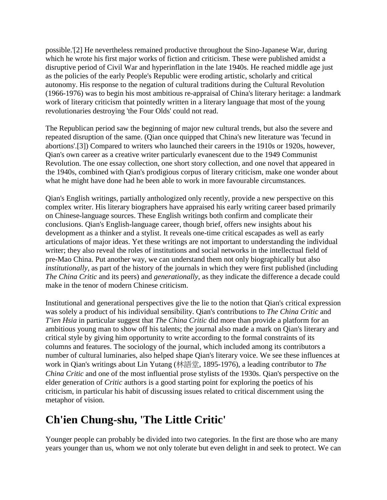possible.'[2] He nevertheless remained productive throughout the Sino-Japanese War, during which he wrote his first major works of fiction and criticism. These were published amidst a disruptive period of Civil War and hyperinflation in the late 1940s. He reached middle age just as the policies of the early People's Republic were eroding artistic, scholarly and critical autonomy. His response to the negation of cultural traditions during the Cultural Revolution (1966-1976) was to begin his most ambitious re-appraisal of China's literary heritage: a landmark work of literary criticism that pointedly written in a literary language that most of the young revolutionaries destroying 'the Four Olds' could not read.

The Republican period saw the beginning of major new cultural trends, but also the severe and repeated disruption of the same. (Qian once quipped that China's new literature was 'fecund in abortions'.[3]) Compared to writers who launched their careers in the 1910s or 1920s, however, Qian's own career as a creative writer particularly evanescent due to the 1949 Communist Revolution. The one essay collection, one short story collection, and one novel that appeared in the 1940s, combined with Qian's prodigious corpus of literary criticism, make one wonder about what he might have done had he been able to work in more favourable circumstances.

Qian's English writings, partially anthologized only recently, provide a new perspective on this complex writer. His literary biographers have appraised his early writing career based primarily on Chinese-language sources. These English writings both confirm and complicate their conclusions. Qian's English-language career, though brief, offers new insights about his development as a thinker and a stylist. It reveals one-time critical escapades as well as early articulations of major ideas. Yet these writings are not important to understanding the individual writer; they also reveal the roles of institutions and social networks in the intellectual field of pre-Mao China. Put another way, we can understand them not only biographically but also *institutionally*, as part of the history of the journals in which they were first published (including *The China Critic* and its peers) and *generationally*, as they indicate the difference a decade could make in the tenor of modern Chinese criticism.

Institutional and generational perspectives give the lie to the notion that Qian's critical expression was solely a product of his individual sensibility. Qian's contributions to *The China Critic* and *T'ien Hsia* in particular suggest that *The China Critic* did more than provide a platform for an ambitious young man to show off his talents; the journal also made a mark on Qian's literary and critical style by giving him opportunity to write according to the formal constraints of its columns and features. The sociology of the journal, which included among its contributors a number of cultural luminaries, also helped shape Qian's literary voice. We see these influences at work in Qian's writings about Lin Yutang (林語堂, 1895-1976), a leading contributor to *The China Critic* and one of the most influential prose stylists of the 1930s. Qian's perspective on the elder generation of *Critic* authors is a good starting point for exploring the poetics of his criticism, in particular his habit of discussing issues related to critical discernment using the metaphor of vision.

### **Ch'ien Chung-shu, 'The Little Critic'**

Younger people can probably be divided into two categories. In the first are those who are many years younger than us, whom we not only tolerate but even delight in and seek to protect. We can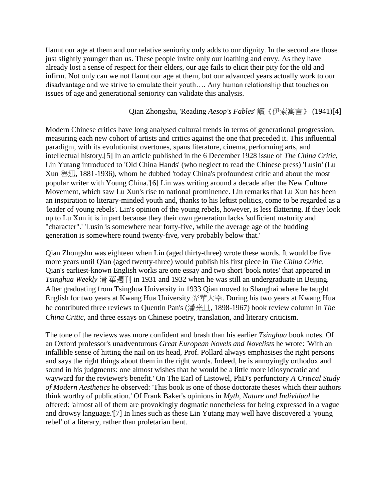flaunt our age at them and our relative seniority only adds to our dignity. In the second are those just slightly younger than us. These people invite only our loathing and envy. As they have already lost a sense of respect for their elders, our age fails to elicit their pity for the old and infirm. Not only can we not flaunt our age at them, but our advanced years actually work to our disadvantage and we strive to emulate their youth…. Any human relationship that touches on issues of age and generational seniority can validate this analysis.

#### Qian Zhongshu, 'Reading *Aesop's Fables*' 讀《伊索寓言》 (1941)[4]

Modern Chinese critics have long analysed cultural trends in terms of generational progression, measuring each new cohort of artists and critics against the one that preceded it. This influential paradigm, with its evolutionist overtones, spans literature, cinema, performing arts, and intellectual history.[5] In an article published in the 6 December 1928 issue of *The China Critic*, Lin Yutang introduced to 'Old China Hands' (who neglect to read the Chinese press) 'Lusin' (Lu Xun 魯迅, 1881-1936), whom he dubbed 'today China's profoundest critic and about the most popular writer with Young China.'[6] Lin was writing around a decade after the New Culture Movement, which saw Lu Xun's rise to national prominence. Lin remarks that Lu Xun has been an inspiration to literary-minded youth and, thanks to his leftist politics, come to be regarded as a 'leader of young rebels'. Lin's opinion of the young rebels, however, is less flattering. If they look up to Lu Xun it is in part because they their own generation lacks 'sufficient maturity and "character".' 'Lusin is somewhere near forty-five, while the average age of the budding generation is somewhere round twenty-five, very probably below that.'

Qian Zhongshu was eighteen when Lin (aged thirty-three) wrote these words. It would be five more years until Qian (aged twenty-three) would publish his first piece in *The China Critic*. Qian's earliest-known English works are one essay and two short 'book notes' that appeared in *Tsinghua Weekly* 清 華週刊 in 1931 and 1932 when he was still an undergraduate in Beijing. After graduating from Tsinghua University in 1933 Qian moved to Shanghai where he taught English for two years at Kwang Hua University 光華大學. During his two years at Kwang Hua he contributed three reviews to Quentin Pan's (潘光旦, 1898-1967) book review column in *The China Critic*, and three essays on Chinese poetry, translation, and literary criticism.

The tone of the reviews was more confident and brash than his earlier *Tsinghua* book notes. Of an Oxford professor's unadventurous *Great European Novels and Novelists* he wrote: 'With an infallible sense of hitting the nail on its head, Prof. Pollard always emphasises the right persons and says the right things about them in the right words. Indeed, he is annoyingly orthodox and sound in his judgments: one almost wishes that he would be a little more idiosyncratic and wayward for the reviewer's benefit.' On The Earl of Listowel, PhD's perfunctory *A Critical Study of Modern Aesthetics* he observed: 'This book is one of those doctorate theses which their authors think worthy of publication.' Of Frank Baker's opinions in *Myth, Nature and Individual* he offered: 'almost all of them are provokingly dogmatic nonetheless for being expressed in a vague and drowsy language.'[7] In lines such as these Lin Yutang may well have discovered a 'young rebel' of a literary, rather than proletarian bent.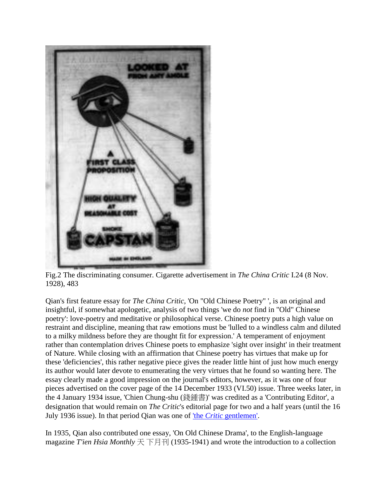

Fig.2 The discriminating consumer. Cigarette advertisement in *The China Critic* I.24 (8 Nov. 1928), 483

Qian's first feature essay for *The China Critic*, 'On "Old Chinese Poetry" ', is an original and insightful, if somewhat apologetic, analysis of two things 'we do *not* find in "Old" Chinese poetry': love-poetry and meditative or philosophical verse. Chinese poetry puts a high value on restraint and discipline, meaning that raw emotions must be 'lulled to a windless calm and diluted to a milky mildness before they are thought fit for expression.' A temperament of enjoyment rather than contemplation drives Chinese poets to emphasize 'sight over insight' in their treatment of Nature. While closing with an affirmation that Chinese poetry has virtues that make up for these 'deficiencies', this rather negative piece gives the reader little hint of just how much energy its author would later devote to enumerating the very virtues that he found so wanting here. The essay clearly made a good impression on the journal's editors, however, as it was one of four pieces advertised on the cover page of the 14 December 1933 (VI.50) issue. Three weeks later, in the 4 January 1934 issue, 'Chien Chung-shu (錢鍾書)' was credited as a 'Contributing Editor', a designation that would remain on *The Critic*'s editorial page for two and a half years (until the 16 July 1936 issue). In that period Qian was one of 'the *Critic* [gentlemen'.](http://www.chinaheritagequarterly.org/features.php?searchterm=030_league.inc&issue=030)

In 1935, Qian also contributed one essay, 'On Old Chinese Drama', to the English-language magazine *T'ien Hsia Monthly*  $\overline{\mathcal{F}}$   $\overline{\mathcal{F}}$   $\overline{\mathcal{F}}$   $\overline{\mathcal{F}}$   $\overline{\mathcal{F}}$   $\overline{\mathcal{F}}$   $\overline{\mathcal{F}}$   $\overline{\mathcal{F}}$   $\overline{\mathcal{F}}$   $\overline{\mathcal{F}}$   $\overline{\mathcal{F}}$   $\overline{\mathcal{F}}$   $\overline{\mathcal{F}}$   $\overline{\mathcal{F}}$   $\overline{\mathcal{F}}$   $\overline{\mathcal{F}}$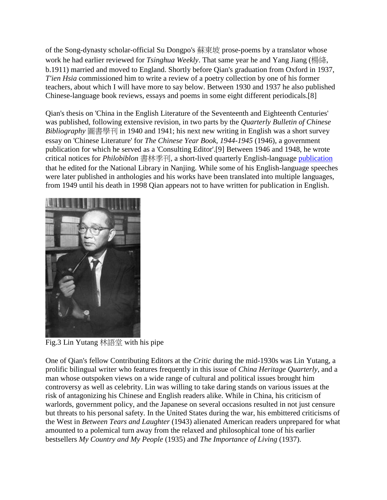of the Song-dynasty scholar-official Su Dongpo's 蘇東坡 prose-poems by a translator whose work he had earlier reviewed for *Tsinghua Weekly*. That same year he and Yang Jiang (楊絳, b.1911) married and moved to England. Shortly before Qian's graduation from Oxford in 1937, *T'ien Hsia* commissioned him to write a review of a poetry collection by one of his former teachers, about which I will have more to say below. Between 1930 and 1937 he also published Chinese-language book reviews, essays and poems in some eight different periodicals.[8]

Qian's thesis on 'China in the English Literature of the Seventeenth and Eighteenth Centuries' was published, following extensive revision, in two parts by the *Quarterly Bulletin of Chinese Bibliography* 圖書學刊 in 1940 and 1941; his next new writing in English was a short survey essay on 'Chinese Literature' for *The Chinese Year Book, 1944-1945* (1946), a government publication for which he served as a 'Consulting Editor'.[9] Between 1946 and 1948, he wrote critical notices for *Philobiblon* 書林季刊, a short-lived quarterly English-language [publication](http://www.chinaheritagequarterly.org/tien-hsia.php?searchterm=025_decadent.inc&issue=025) that he edited for the National Library in Nanjing. While some of his English-language speeches were later published in anthologies and his works have been translated into multiple languages, from 1949 until his death in 1998 Qian appears not to have written for publication in English.



Fig.3 Lin Yutang 林語堂 with his pipe

One of Qian's fellow Contributing Editors at the *Critic* during the mid-1930s was Lin Yutang, a prolific bilingual writer who features frequently in this issue of *China Heritage Quarterly*, and a man whose outspoken views on a wide range of cultural and political issues brought him controversy as well as celebrity. Lin was willing to take daring stands on various issues at the risk of antagonizing his Chinese and English readers alike. While in China, his criticism of warlords, government policy, and the Japanese on several occasions resulted in not just censure but threats to his personal safety. In the United States during the war, his embittered criticisms of the West in *Between Tears and Laughter* (1943) alienated American readers unprepared for what amounted to a polemical turn away from the relaxed and philosophical tone of his earlier bestsellers *My Country and My People* (1935) and *The Importance of Living* (1937).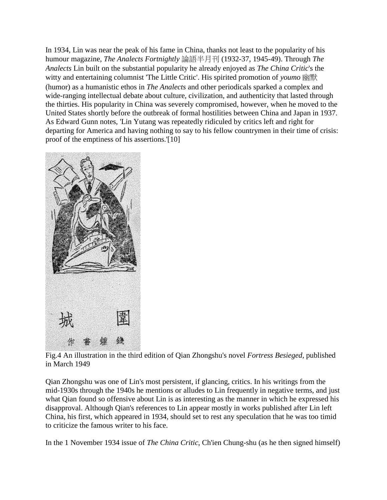In 1934, Lin was near the peak of his fame in China, thanks not least to the popularity of his humour magazine, *The Analects Fortnightly* 論語半月刊 (1932-37, 1945-49). Through *The Analects* Lin built on the substantial popularity he already enjoyed as *The China Critic*'s the witty and entertaining columnist 'The Little Critic'. His spirited promotion of *youmo* 幽默 (humor) as a humanistic ethos in *The Analects* and other periodicals sparked a complex and wide-ranging intellectual debate about culture, civilization, and authenticity that lasted through the thirties. His popularity in China was severely compromised, however, when he moved to the United States shortly before the outbreak of formal hostilities between China and Japan in 1937. As Edward Gunn notes, 'Lin Yutang was repeatedly ridiculed by critics left and right for departing for America and having nothing to say to his fellow countrymen in their time of crisis: proof of the emptiness of his assertions.'[10]



Fig.4 An illustration in the third edition of Qian Zhongshu's novel *Fortress Besieged*, published in March 1949

Qian Zhongshu was one of Lin's most persistent, if glancing, critics. In his writings from the mid-1930s through the 1940s he mentions or alludes to Lin frequently in negative terms, and just what Qian found so offensive about Lin is as interesting as the manner in which he expressed his disapproval. Although Qian's references to Lin appear mostly in works published after Lin left China, his first, which appeared in 1934, should set to rest any speculation that he was too timid to criticize the famous writer to his face.

In the 1 November 1934 issue of *The China Critic*, Ch'ien Chung-shu (as he then signed himself)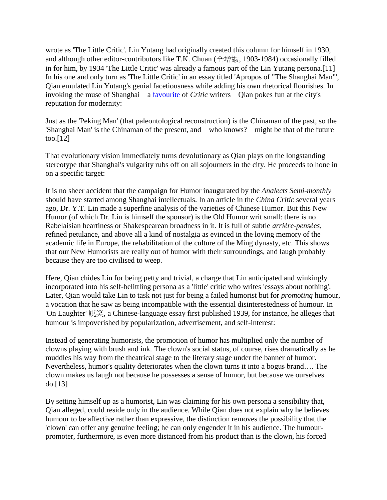wrote as 'The Little Critic'. Lin Yutang had originally created this column for himself in 1930, and although other editor-contributors like T.K. Chuan (全增嘏, 1903-1984) occasionally filled in for him, by 1934 'The Little Critic' was already a famous part of the Lin Yutang persona.[11] In his one and only turn as 'The Little Critic' in an essay titled 'Apropos of "The Shanghai Man"', Qian emulated Lin Yutang's genial facetiousness while adding his own rhetorical flourishes. In invoking the muse of Shanghai—a [favourite](http://www.chinaheritagequarterly.org/features.php?searchterm=030_shanghai.inc&issue=030) of *Critic* writers—Qian pokes fun at the city's reputation for modernity:

Just as the 'Peking Man' (that paleontological reconstruction) is the Chinaman of the past, so the 'Shanghai Man' is the Chinaman of the present, and—who knows?—might be that of the future too.[12]

That evolutionary vision immediately turns devolutionary as Qian plays on the longstanding stereotype that Shanghai's vulgarity rubs off on all sojourners in the city. He proceeds to hone in on a specific target:

It is no sheer accident that the campaign for Humor inaugurated by the *Analects Semi-monthly* should have started among Shanghai intellectuals. In an article in the *China Critic* several years ago, Dr. Y.T. Lin made a superfine analysis of the varieties of Chinese Humor. But this New Humor (of which Dr. Lin is himself the sponsor) is the Old Humor writ small: there is no Rabelaisian heartiness or Shakespearean broadness in it. It is full of subtle *arrière-pensées*, refined petulance, and above all a kind of nostalgia as evinced in the loving memory of the academic life in Europe, the rehabilitation of the culture of the Ming dynasty, etc. This shows that our New Humorists are really out of humor with their surroundings, and laugh probably because they are too civilised to weep.

Here, Qian chides Lin for being petty and trivial, a charge that Lin anticipated and winkingly incorporated into his self-belittling persona as a 'little' critic who writes 'essays about nothing'. Later, Qian would take Lin to task not just for being a failed humorist but for *promoting* humour, a vocation that he saw as being incompatible with the essential disinterestedness of humour. In 'On Laughter' 説笑, a Chinese-language essay first published 1939, for instance, he alleges that humour is impoverished by popularization, advertisement, and self-interest:

Instead of generating humorists, the promotion of humor has multiplied only the number of clowns playing with brush and ink. The clown's social status, of course, rises dramatically as he muddles his way from the theatrical stage to the literary stage under the banner of humor. Nevertheless, humor's quality deteriorates when the clown turns it into a bogus brand…. The clown makes us laugh not because he possesses a sense of humor, but because we ourselves do.[13]

By setting himself up as a humorist, Lin was claiming for his own persona a sensibility that, Qian alleged, could reside only in the audience. While Qian does not explain why he believes humour to be affective rather than expressive, the distinction removes the possibility that the 'clown' can offer any genuine feeling; he can only engender it in his audience. The humourpromoter, furthermore, is even more distanced from his product than is the clown, his forced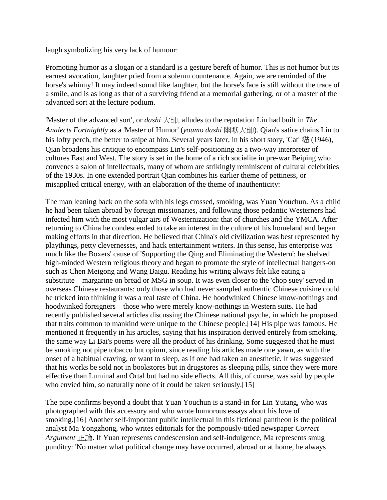laugh symbolizing his very lack of humour:

Promoting humor as a slogan or a standard is a gesture bereft of humor. This is not humor but its earnest avocation, laughter pried from a solemn countenance. Again, we are reminded of the horse's whinny! It may indeed sound like laughter, but the horse's face is still without the trace of a smile, and is as long as that of a surviving friend at a memorial gathering, or of a master of the advanced sort at the lecture podium.

'Master of the advanced sort', or *dashi* 大師, alludes to the reputation Lin had built in *The Analects Fortnightly* as a 'Master of Humor' (*youmo dashi* 幽默大師). Qian's satire chains Lin to his lofty perch, the better to snipe at him. Several years later, in his short story, 'Cat' 貓 (1946), Qian broadens his critique to encompass Lin's self-positioning as a two-way interpreter of cultures East and West. The story is set in the home of a rich socialite in pre-war Beiping who convenes a salon of intellectuals, many of whom are strikingly reminiscent of cultural celebrities of the 1930s. In one extended portrait Qian combines his earlier theme of pettiness, or misapplied critical energy, with an elaboration of the theme of inauthenticity:

The man leaning back on the sofa with his legs crossed, smoking, was Yuan Youchun. As a child he had been taken abroad by foreign missionaries, and following those pedantic Westerners had infected him with the most vulgar airs of Westernization: that of churches and the YMCA. After returning to China he condescended to take an interest in the culture of his homeland and began making efforts in that direction. He believed that China's old civilization was best represented by playthings, petty clevernesses, and hack entertainment writers. In this sense, his enterprise was much like the Boxers' cause of 'Supporting the Qing and Eliminating the Western': he shelved high-minded Western religious theory and began to promote the style of intellectual hangers-on such as Chen Meigong and Wang Baigu. Reading his writing always felt like eating a substitute—margarine on bread or MSG in soup. It was even closer to the 'chop suey' served in overseas Chinese restaurants: only those who had never sampled authentic Chinese cuisine could be tricked into thinking it was a real taste of China. He hoodwinked Chinese know-nothings and hoodwinked foreigners—those who were merely know-nothings in Western suits. He had recently published several articles discussing the Chinese national psyche, in which he proposed that traits common to mankind were unique to the Chinese people.[14] His pipe was famous. He mentioned it frequently in his articles, saying that his inspiration derived entirely from smoking, the same way Li Bai's poems were all the product of his drinking. Some suggested that he must be smoking not pipe tobacco but opium, since reading his articles made one yawn, as with the onset of a habitual craving, or want to sleep, as if one had taken an anesthetic. It was suggested that his works be sold not in bookstores but in drugstores as sleeping pills, since they were more effective than Luminal and Ortal but had no side effects. All this, of course, was said by people who envied him, so naturally none of it could be taken seriously.[15]

The pipe confirms beyond a doubt that Yuan Youchun is a stand-in for Lin Yutang, who was photographed with this accessory and who wrote humorous essays about his love of smoking.[16] Another self-important public intellectual in this fictional pantheon is the political analyst Ma Yongzhong, who writes editorials for the pompously-titled newspaper *Correct Argument* 正論. If Yuan represents condescension and self-indulgence, Ma represents smug punditry: 'No matter what political change may have occurred, abroad or at home, he always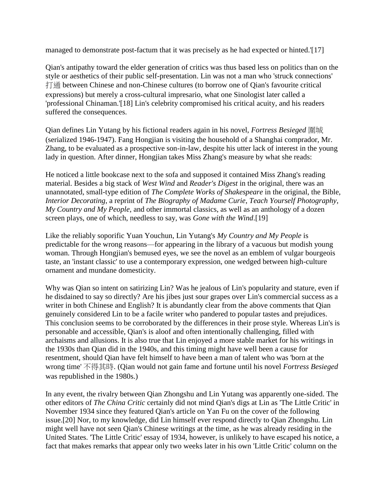managed to demonstrate post-factum that it was precisely as he had expected or hinted.'[17]

Qian's antipathy toward the elder generation of critics was thus based less on politics than on the style or aesthetics of their public self-presentation. Lin was not a man who 'struck connections' 打通 between Chinese and non-Chinese cultures (to borrow one of Qian's favourite critical expressions) but merely a cross-cultural impresario, what one Sinologist later called a 'professional Chinaman.'[18] Lin's celebrity compromised his critical acuity, and his readers suffered the consequences.

Qian defines Lin Yutang by his fictional readers again in his novel, *Fortress Besieged* 圍城 (serialized 1946-1947). Fang Hongjian is visiting the household of a Shanghai comprador, Mr. Zhang, to be evaluated as a prospective son-in-law, despite his utter lack of interest in the young lady in question. After dinner, Hongjian takes Miss Zhang's measure by what she reads:

He noticed a little bookcase next to the sofa and supposed it contained Miss Zhang's reading material. Besides a big stack of *West Wind* and *Reader's Digest* in the original, there was an unannotated, small-type edition of *The Complete Works of Shakespeare* in the original, the Bible, *Interior Decorating*, a reprint of *The Biography of Madame Curie*, *Teach Yourself Photography*, *My Country and My People*, and other immortal classics, as well as an anthology of a dozen screen plays, one of which, needless to say, was *Gone with the Wind*.[19]

Like the reliably soporific Yuan Youchun, Lin Yutang's *My Country and My People* is predictable for the wrong reasons—for appearing in the library of a vacuous but modish young woman. Through Hongjian's bemused eyes, we see the novel as an emblem of vulgar bourgeois taste, an 'instant classic' to use a contemporary expression, one wedged between high-culture ornament and mundane domesticity.

Why was Qian so intent on satirizing Lin? Was he jealous of Lin's popularity and stature, even if he disdained to say so directly? Are his jibes just sour grapes over Lin's commercial success as a writer in both Chinese and English? It is abundantly clear from the above comments that Qian genuinely considered Lin to be a facile writer who pandered to popular tastes and prejudices. This conclusion seems to be corroborated by the differences in their prose style. Whereas Lin's is personable and accessible, Qian's is aloof and often intentionally challenging, filled with archaisms and allusions. It is also true that Lin enjoyed a more stable market for his writings in the 1930s than Qian did in the 1940s, and this timing might have well been a cause for resentment, should Qian have felt himself to have been a man of talent who was 'born at the wrong time' 不得其時. (Qian would not gain fame and fortune until his novel *Fortress Besieged*  was republished in the 1980s.)

In any event, the rivalry between Qian Zhongshu and Lin Yutang was apparently one-sided. The other editors of *The China Critic* certainly did not mind Qian's digs at Lin as 'The Little Critic' in November 1934 since they featured Qian's article on Yan Fu on the cover of the following issue.[20] Nor, to my knowledge, did Lin himself ever respond directly to Qian Zhongshu. Lin might well have not seen Qian's Chinese writings at the time, as he was already residing in the United States. 'The Little Critic' essay of 1934, however, is unlikely to have escaped his notice, a fact that makes remarks that appear only two weeks later in his own 'Little Critic' column on the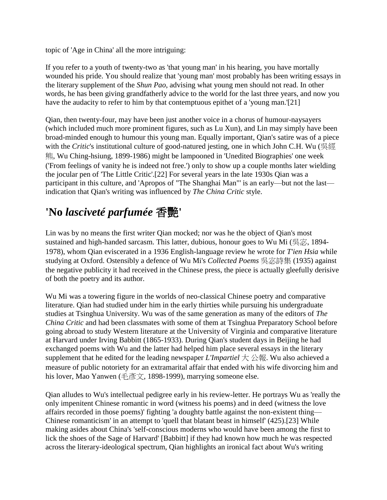topic of 'Age in China' all the more intriguing:

If you refer to a youth of twenty-two as 'that young man' in his hearing, you have mortally wounded his pride. You should realize that 'young man' most probably has been writing essays in the literary supplement of the *Shun Pao*, advising what young men should not read. In other words, he has been giving grandfatherly advice to the world for the last three years, and now you have the audacity to refer to him by that contemptuous epithet of a 'young man.'[21]

Qian, then twenty-four, may have been just another voice in a chorus of humour-naysayers (which included much more prominent figures, such as Lu Xun), and Lin may simply have been broad-minded enough to humour this young man. Equally important, Qian's satire was of a piece with the *Critic*'s institutional culture of good-natured jesting, one in which John C.H. Wu (吳經 熊, Wu Ching-hsiung, 1899-1986) might be lampooned in 'Unedited Biographies' one week ('From feelings of vanity he is indeed not free.') only to show up a couple months later wielding the jocular pen of 'The Little Critic'.[22] For several years in the late 1930s Qian was a participant in this culture, and 'Apropos of "The Shanghai Man"' is an early—but not the last indication that Qian's writing was influenced by *The China Critic* style.

### **'No** *lasciveté parfumée* 香艷**'**

Lin was by no means the first writer Qian mocked; nor was he the object of Qian's most sustained and high-handed sarcasm. This latter, dubious, honour goes to Wu Mi (吳宓, 1894-1978), whom Qian eviscerated in a 1936 English-language review he wrote for *T'ien Hsia* while studying at Oxford. Ostensibly a defence of Wu Mi's *Collected Poems* 吳宓詩集 (1935) against the negative publicity it had received in the Chinese press, the piece is actually gleefully derisive of both the poetry and its author.

Wu Mi was a towering figure in the worlds of neo-classical Chinese poetry and comparative literature. Qian had studied under him in the early thirties while pursuing his undergraduate studies at Tsinghua University. Wu was of the same generation as many of the editors of *The China Critic* and had been classmates with some of them at Tsinghua Preparatory School before going abroad to study Western literature at the University of Virginia and comparative literature at Harvard under Irving Babbitt (1865-1933). During Qian's student days in Beijing he had exchanged poems with Wu and the latter had helped him place several essays in the literary supplement that he edited for the leading newspaper *L'Impartiel*  $\pm \triangle \mathbb{R}$ . Wu also achieved a measure of public notoriety for an extramarital affair that ended with his wife divorcing him and his lover, Mao Yanwen (毛彥文, 1898-1999), marrying someone else.

Qian alludes to Wu's intellectual pedigree early in his review-letter. He portrays Wu as 'really the only impenitent Chinese romantic in word (witness his poems) and in deed (witness the love affairs recorded in those poems)' fighting 'a doughty battle against the non-existent thing— Chinese romanticism' in an attempt to 'quell that blatant beast in himself' (425).[23] While making asides about China's 'self-conscious moderns who would have been among the first to lick the shoes of the Sage of Harvard' [Babbitt] if they had known how much he was respected across the literary-ideological spectrum, Qian highlights an ironical fact about Wu's writing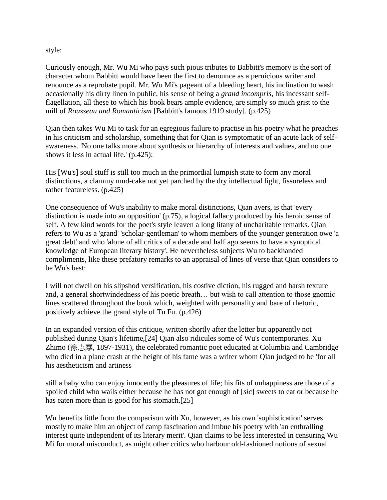style:

Curiously enough, Mr. Wu Mi who pays such pious tributes to Babbitt's memory is the sort of character whom Babbitt would have been the first to denounce as a pernicious writer and renounce as a reprobate pupil. Mr. Wu Mi's pageant of a bleeding heart, his inclination to wash occasionally his dirty linen in public, his sense of being a *grand incompris*, his incessant selfflagellation, all these to which his book bears ample evidence, are simply so much grist to the mill of *Rousseau and Romanticism* [Babbitt's famous 1919 study]. (p.425)

Qian then takes Wu Mi to task for an egregious failure to practise in his poetry what he preaches in his criticism and scholarship, something that for Qian is symptomatic of an acute lack of selfawareness. 'No one talks more about synthesis or hierarchy of interests and values, and no one shows it less in actual life.' (p.425):

His [Wu's] soul stuff is still too much in the primordial lumpish state to form any moral distinctions, a clammy mud-cake not yet parched by the dry intellectual light, fissureless and rather featureless. (p.425)

One consequence of Wu's inability to make moral distinctions, Qian avers, is that 'every distinction is made into an opposition' (p.75), a logical fallacy produced by his heroic sense of self. A few kind words for the poet's style leaven a long litany of uncharitable remarks. Qian refers to Wu as a 'grand' 'scholar-gentleman' to whom members of the younger generation owe 'a great debt' and who 'alone of all critics of a decade and half ago seems to have a synoptical knowledge of European literary history'. He nevertheless subjects Wu to backhanded compliments, like these prefatory remarks to an appraisal of lines of verse that Qian considers to be Wu's best:

I will not dwell on his slipshod versification, his costive diction, his rugged and harsh texture and, a general shortwindedness of his poetic breath… but wish to call attention to those gnomic lines scattered throughout the book which, weighted with personality and bare of rhetoric, positively achieve the grand style of Tu Fu. (p.426)

In an expanded version of this critique, written shortly after the letter but apparently not published during Qian's lifetime,[24] Qian also ridicules some of Wu's contemporaries. Xu Zhimo (徐志摩, 1897-1931), the celebrated romantic poet educated at Columbia and Cambridge who died in a plane crash at the height of his fame was a writer whom Qian judged to be 'for all his aestheticism and artiness

still a baby who can enjoy innocently the pleasures of life; his fits of unhappiness are those of a spoiled child who wails either because he has not got enough of [*sic*] sweets to eat or because he has eaten more than is good for his stomach.[25]

Wu benefits little from the comparison with Xu, however, as his own 'sophistication' serves mostly to make him an object of camp fascination and imbue his poetry with 'an enthralling interest quite independent of its literary merit'. Qian claims to be less interested in censuring Wu Mi for moral misconduct, as might other critics who harbour old-fashioned notions of sexual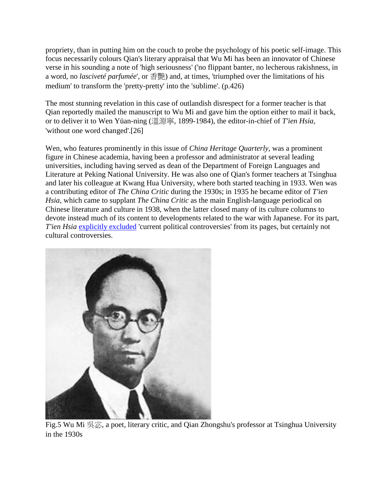propriety, than in putting him on the couch to probe the psychology of his poetic self-image. This focus necessarily colours Qian's literary appraisal that Wu Mi has been an innovator of Chinese verse in his sounding a note of 'high seriousness' ('no flippant banter, no lecherous rakishness, in a word, no *lasciveté parfumée*', or 香艷) and, at times, 'triumphed over the limitations of his medium' to transform the 'pretty-pretty' into the 'sublime'. (p.426)

The most stunning revelation in this case of outlandish disrespect for a former teacher is that Qian reportedly mailed the manuscript to Wu Mi and gave him the option either to mail it back, or to deliver it to Wen Yüan-ning (溫源寧, 1899-1984), the editor-in-chief of *T'ien Hsia*, 'without one word changed'.[26]

Wen, who features prominently in this issue of *China Heritage Quarterly*, was a prominent figure in Chinese academia, having been a professor and administrator at several leading universities, including having served as dean of the Department of Foreign Languages and Literature at Peking National University. He was also one of Qian's former teachers at Tsinghua and later his colleague at Kwang Hua University, where both started teaching in 1933. Wen was a contributing editor of *The China Critic* during the 1930s; in 1935 he became editor of *T'ien Hsia*, which came to supplant *The China Critic* as the main English-language periodical on Chinese literature and culture in 1938, when the latter closed many of its culture columns to devote instead much of its content to developments related to the war with Japanese. For its part, *T'ien Hsia [explicitly excluded](http://www.chinaheritagequarterly.org/features.php?searchterm=019_forward.inc&issue=019) 'current political controversies' from its pages, but certainly not* cultural controversies.



Fig.5 Wu Mi 吳宓, a poet, literary critic, and Qian Zhongshu's professor at Tsinghua University in the 1930s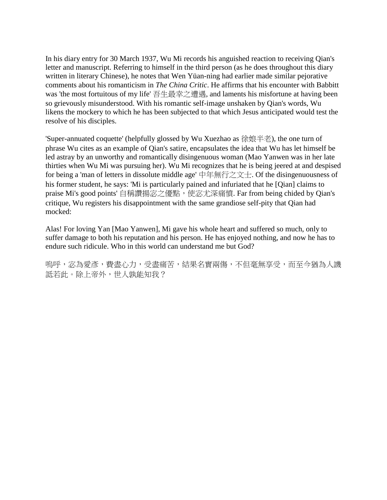In his diary entry for 30 March 1937, Wu Mi records his anguished reaction to receiving Qian's letter and manuscript. Referring to himself in the third person (as he does throughout this diary written in literary Chinese), he notes that Wen Yüan-ning had earlier made similar pejorative comments about his romanticism in *The China Critic*. He affirms that his encounter with Babbitt was 'the most fortuitous of my life' 吾生最幸之遭遇, and laments his misfortune at having been so grievously misunderstood. With his romantic self-image unshaken by Qian's words, Wu likens the mockery to which he has been subjected to that which Jesus anticipated would test the resolve of his disciples.

'Super-annuated coquette' (helpfully glossed by Wu Xuezhao as 徐娘半老), the one turn of phrase Wu cites as an example of Qian's satire, encapsulates the idea that Wu has let himself be led astray by an unworthy and romantically disingenuous woman (Mao Yanwen was in her late thirties when Wu Mi was pursuing her). Wu Mi recognizes that he is being jeered at and despised for being a 'man of letters in dissolute middle age' 中年無行之文士. Of the disingenuousness of his former student, he says: 'Mi is particularly pained and infuriated that he [Qian] claims to praise Mi's good points' 自稱讚揚宓之優點,使宓尤深痛憤. Far from being chided by Qian's critique, Wu registers his disappointment with the same grandiose self-pity that Qian had mocked:

Alas! For loving Yan [Mao Yanwen], Mi gave his whole heart and suffered so much, only to suffer damage to both his reputation and his person. He has enjoyed nothing, and now he has to endure such ridicule. Who in this world can understand me but God?

嗎呼,宓為愛彥,費盡心力,受盡痛苦,結果名實兩傷,不但毫無享受,而至今猶為人譏 詆若此。除上帝外,世人孰能知我?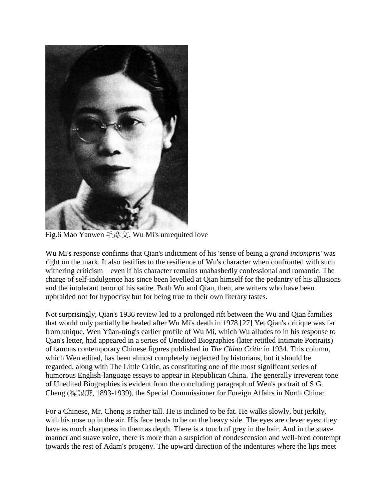

Fig.6 Mao Yanwen 毛彥文, Wu Mi's unrequited love

Wu Mi's response confirms that Qian's indictment of his 'sense of being a *grand incompris*' was right on the mark. It also testifies to the resilience of Wu's character when confronted with such withering criticism—even if his character remains unabashedly confessional and romantic. The charge of self-indulgence has since been levelled at Qian himself for the pedantry of his allusions and the intolerant tenor of his satire. Both Wu and Qian, then, are writers who have been upbraided not for hypocrisy but for being true to their own literary tastes.

Not surprisingly, Qian's 1936 review led to a prolonged rift between the Wu and Qian families that would only partially be healed after Wu Mi's death in 1978.[27] Yet Qian's critique was far from unique. Wen Yüan-ning's earlier profile of Wu Mi, which Wu alludes to in his response to Qian's letter, had appeared in a series of Unedited Biographies (later retitled Intimate Portraits) of famous contemporary Chinese figures published in *The China Critic* in 1934. This column, which Wen edited, has been almost completely neglected by historians, but it should be regarded, along with The Little Critic, as constituting one of the most significant series of humorous English-language essays to appear in Republican China. The generally irreverent tone of Unedited Biographies is evident from the concluding paragraph of Wen's portrait of S.G. Cheng (程錫庚, 1893-1939), the Special Commissioner for Foreign Affairs in North China:

For a Chinese, Mr. Cheng is rather tall. He is inclined to be fat. He walks slowly, but jerkily, with his nose up in the air. His face tends to be on the heavy side. The eyes are clever eyes: they have as much sharpness in them as depth. There is a touch of grey in the hair. And in the suave manner and suave voice, there is more than a suspicion of condescension and well-bred contempt towards the rest of Adam's progeny. The upward direction of the indentures where the lips meet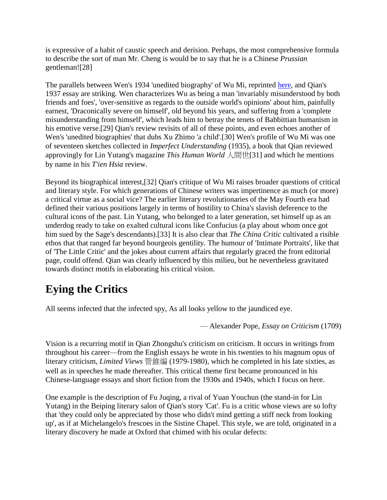is expressive of a habit of caustic speech and derision. Perhaps, the most comprehensive formula to describe the sort of man Mr. Cheng is would be to say that he is a Chinese *Prussian*  gentleman![28]

The parallels between Wen's 1934 'unedited biography' of Wu Mi, reprinted [here,](http://www.chinaheritagequarterly.org/features.php?searchterm=030_rea.inc&issue=030) and Qian's 1937 essay are striking. Wen characterizes Wu as being a man 'invariably misunderstood by both friends and foes', 'over-sensitive as regards to the outside world's opinions' about him, painfully earnest, 'Draconically severe on himself', old beyond his years, and suffering from a 'complete misunderstanding from himself', which leads him to betray the tenets of Babbittian humanism in his emotive verse.[29] Qian's review revisits of all of these points, and even echoes another of Wen's 'unedited biographies' that dubs Xu Zhimo 'a child'.[30] Wen's profile of Wu Mi was one of seventeen sketches collected in *Imperfect Understanding* (1935), a book that Qian reviewed approvingly for Lin Yutang's magazine *This Human World* 人間世[31] and which he mentions by name in his *T'ien Hsia* review.

Beyond its biographical interest,[32] Qian's critique of Wu Mi raises broader questions of critical and literary style. For which generations of Chinese writers was impertinence as much (or more) a critical virtue as a social vice? The earlier literary revolutionaries of the May Fourth era had defined their various positions largely in terms of hostility to China's slavish deference to the cultural icons of the past. Lin Yutang, who belonged to a later generation, set himself up as an underdog ready to take on exalted cultural icons like Confucius (a play about whom once got him sued by the Sage's descendants).[33] It is also clear that *The China Critic* cultivated a risible ethos that that ranged far beyond bourgeois gentility. The humour of 'Intimate Portraits', like that of 'The Little Critic' and the jokes about current affairs that regularly graced the front editorial page, could offend. Qian was clearly influenced by this milieu, but he nevertheless gravitated towards distinct motifs in elaborating his critical vision.

### **Eying the Critics**

All seems infected that the infected spy, As all looks yellow to the jaundiced eye.

— Alexander Pope, *Essay on Criticism* (1709)

Vision is a recurring motif in Qian Zhongshu's criticism on criticism. It occurs in writings from throughout his career—from the English essays he wrote in his twenties to his magnum opus of literary criticism, *Limited Views* 管錐編 (1979-1980), which he completed in his late sixties, as well as in speeches he made thereafter. This critical theme first became pronounced in his Chinese-language essays and short fiction from the 1930s and 1940s, which I focus on here.

One example is the description of Fu Juqing, a rival of Yuan Youchun (the stand-in for Lin Yutang) in the Beiping literary salon of Qian's story 'Cat'. Fu is a critic whose views are so lofty that 'they could only be appreciated by those who didn't mind getting a stiff neck from looking up', as if at Michelangelo's frescoes in the Sistine Chapel. This style, we are told, originated in a literary discovery he made at Oxford that chimed with his ocular defects: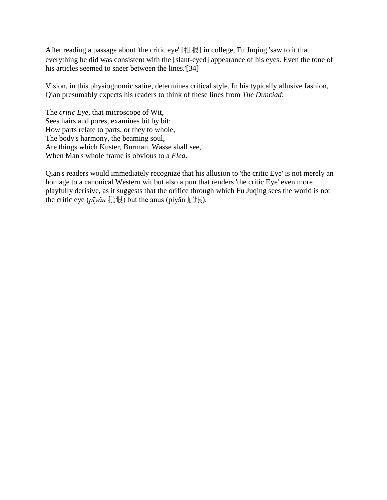After reading a passage about 'the critic eye' [批眼] in college, Fu Juqing 'saw to it that everything he did was consistent with the [slant-eyed] appearance of his eyes. Even the tone of his articles seemed to sneer between the lines.'[34]

Vision, in this physiognomic satire, determines critical style. In his typically allusive fashion, Qian presumably expects his readers to think of these lines from *The Dunciad*:

The *critic Eye*, that microscope of Wit, Sees hairs and pores, examines bit by bit: How parts relate to parts, or they to whole, The body's harmony, the beaming soul, Are things which Kuster, Burman, Wasse shall see, When Man's whole frame is obvious to a *Flea*.

Qian's readers would immediately recognize that his allusion to 'the critic Eye' is not merely an homage to a canonical Western wit but also a pun that renders 'the critic Eye' even more playfully derisive, as it suggests that the orifice through which Fu Juqing sees the world is not the critic eye (*pīyăn* 批眼) but the anus (pìyăn 屁眼).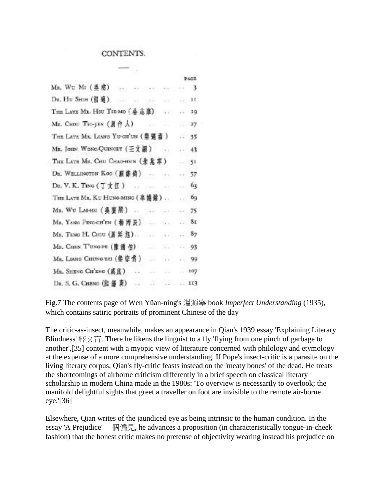#### CONTENTS.

|                                                                                    |                                                                                                                                                                                                                                                                                                                                                                                                                                                         |             | P.M.I.B. |
|------------------------------------------------------------------------------------|---------------------------------------------------------------------------------------------------------------------------------------------------------------------------------------------------------------------------------------------------------------------------------------------------------------------------------------------------------------------------------------------------------------------------------------------------------|-------------|----------|
| Ma. Wu Mi (奥密)<br>$+11$<br>$\mathbf{w} = \mathbf{w} \cdot \mathbf{w} + \mathbf{w}$ | See 11                                                                                                                                                                                                                                                                                                                                                                                                                                                  | $\cdots$ 3. |          |
| DR. Hu Sene (留殖)<br>TEXT SEE START                                                 | 55                                                                                                                                                                                                                                                                                                                                                                                                                                                      | $E = 10$    |          |
| THE LATE MR. HSU TSH-MO (參志章)                                                      | $-4 + 5$                                                                                                                                                                                                                                                                                                                                                                                                                                                | $-10$       |          |
| Ma. Сног Тю-укк (晨作人)<br>ideal.                                                    | up.                                                                                                                                                                                                                                                                                                                                                                                                                                                     | 37          |          |
| THE LATE MR. LIANG YU-CITUN (景張書)                                                  |                                                                                                                                                                                                                                                                                                                                                                                                                                                         | .35         |          |
| Mr. JOHN WONG-QUINCEY (王文圖)                                                        | 437                                                                                                                                                                                                                                                                                                                                                                                                                                                     | $-43$       |          |
| THE LATH MR. CHU CHAO-HSIN (朱北平)                                                   |                                                                                                                                                                                                                                                                                                                                                                                                                                                         | o e i       | 51       |
| DB. WELLINGTON KOO (夏季荷)                                                           |                                                                                                                                                                                                                                                                                                                                                                                                                                                         | n.          | 57       |
|                                                                                    |                                                                                                                                                                                                                                                                                                                                                                                                                                                         | e sold      | 63       |
| THE LATE MR. KU HUNO-MINO (辜德館)                                                    |                                                                                                                                                                                                                                                                                                                                                                                                                                                         | spell.      | 69       |
| Mx. Wu LAH-EGI (晏董熙) ---<br>$7.3 + 1.$                                             | $\frac{1}{2} \sum_{i=1}^n \frac{1}{2} \int_{\mathbb{R}^n} \frac{1}{2} \left( \frac{1}{2} \right) \left( \frac{1}{2} \right) \left( \frac{1}{2} \right) \left( \frac{1}{2} \right) \left( \frac{1}{2} \right) \left( \frac{1}{2} \right) \left( \frac{1}{2} \right) \left( \frac{1}{2} \right) \left( \frac{1}{2} \right) \left( \frac{1}{2} \right) \left( \frac{1}{2} \right) \left( \frac{1}{2} \right) \left( \frac{1}{2} \right) \left( \frac{1}{2$ | $-75$       |          |
| Mg, YANG PING-CH'EN (春青昊)                                                          | See 2                                                                                                                                                                                                                                                                                                                                                                                                                                                   | .51         |          |
| MR. TENG H. CHIU (屏延旭)<br>$(1,0,0.5)$                                              | 4.1                                                                                                                                                                                                                                                                                                                                                                                                                                                     | $-87$       |          |
| Mu. CHEN T'UNG-PE (豫通伯)<br>$-28$                                                   | 화도                                                                                                                                                                                                                                                                                                                                                                                                                                                      | $-93$       |          |
| Ms. LIANG CHUNG TAI (蒙蒙雪)                                                          | 8.0                                                                                                                                                                                                                                                                                                                                                                                                                                                     | $-99$       |          |
| Mn. SHENG CH'ENG (威震)                                                              |                                                                                                                                                                                                                                                                                                                                                                                                                                                         | 107         |          |
| 添<br>DR. S. G. CHENO (在 邮 庚)                                                       | 426                                                                                                                                                                                                                                                                                                                                                                                                                                                     | 113         |          |

Fig.7 The contents page of Wen Yüan-ning's 溫源寧 book *Imperfect Understanding* (1935), which contains satiric portraits of prominent Chinese of the day

 $-1$ 

The critic-as-insect, meanwhile, makes an appearance in Qian's 1939 essay 'Explaining Literary Blindness' 釋文盲. There he likens the linguist to a fly 'flying from one pinch of garbage to another',[35] content with a myopic view of literature concerned with philology and etymology at the expense of a more comprehensive understanding. If Pope's insect-critic is a parasite on the living literary corpus, Qian's fly-critic feasts instead on the 'meaty bones' of the dead. He treats the shortcomings of airborne criticism differently in a brief speech on classical literary scholarship in modern China made in the 1980s: 'To overview is necessarily to overlook; the manifold delightful sights that greet a traveller on foot are invisible to the remote air-borne eye.'[36]

Elsewhere, Qian writes of the jaundiced eye as being intrinsic to the human condition. In the essay 'A Prejudice' 一個偏見, he advances a proposition (in characteristically tongue-in-cheek fashion) that the honest critic makes no pretense of objectivity wearing instead his prejudice on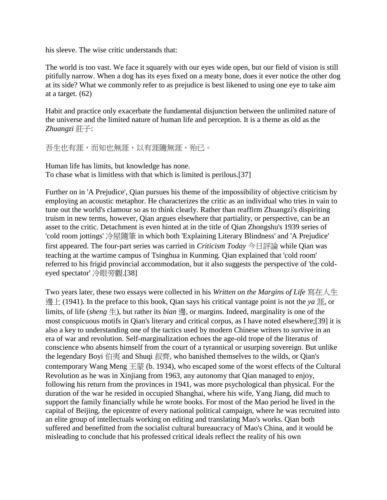his sleeve. The wise critic understands that:

The world is too vast. We face it squarely with our eyes wide open, but our field of vision is still pitifully narrow. When a dog has its eyes fixed on a meaty bone, does it ever notice the other dog at its side? What we commonly refer to as prejudice is best likened to using one eye to take aim at a target. (62)

Habit and practice only exacerbate the fundamental disjunction between the unlimited nature of the universe and the limited nature of human life and perception. It is a theme as old as the *Zhuangzi* 莊子:

```
吾生也有涯,而知也無涯,以有涯隨無涯,殆已。
```
Human life has limits, but knowledge has none. To chase what is limitless with that which is limited is perilous.[37]

Further on in 'A Prejudice', Qian pursues his theme of the impossibility of objective criticism by employing an acoustic metaphor. He characterizes the critic as an individual who tries in vain to tune out the world's clamour so as to think clearly. Rather than reaffirm Zhuangzi's dispiriting truism in new terms, however, Qian argues elsewhere that partiality, or perspective, can be an asset to the critic. Detachment is even hinted at in the title of Qian Zhongshu's 1939 series of 'cold room jottings' 冷屋隨筆 in which both 'Explaining Literary Blindness' and 'A Prejudice' first appeared. The four-part series was carried in *Criticism Today* 今日評論 while Qian was teaching at the wartime campus of Tsinghua in Kunming*.* Qian explained that 'cold room' referred to his frigid provincial accommodation, but it also suggests the perspective of 'the coldeyed spectator' 冷眼旁觀.[38]

Two years later, these two essays were collected in his *Written on the Margins of Life* 寫在人生 邊上 (1941). In the preface to this book, Qian says his critical vantage point is not the *ya* 涯, or limits, of life (*sheng* 生), but rather its *bian* 邊, or margins. Indeed, marginality is one of the most conspicuous motifs in Qian's literary and critical corpus, as I have noted elsewhere;[39] it is also a key to understanding one of the tactics used by modern Chinese writers to survive in an era of war and revolution. Self-marginalization echoes the age-old trope of the literatus of conscience who absents himself from the court of a tyrannical or usurping sovereign. But unlike the legendary Boyi 伯夷 and Shuqi 叔齊, who banished themselves to the wilds, or Qian's contemporary Wang Meng 王蒙 (b. 1934), who escaped some of the worst effects of the Cultural Revolution as he was in Xinjiang from 1963, any autonomy that Qian managed to enjoy, following his return from the provinces in 1941, was more psychological than physical. For the duration of the war he resided in occupied Shanghai, where his wife, Yang Jiang, did much to support the family financially while he wrote books. For most of the Mao period he lived in the capital of Beijing, the epicentre of every national political campaign, where he was recruited into an elite group of intellectuals working on editing and translating Mao's works. Qian both suffered and benefitted from the socialist cultural bureaucracy of Mao's China, and it would be misleading to conclude that his professed critical ideals reflect the reality of his own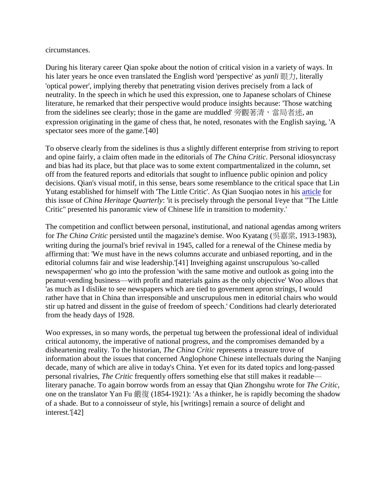circumstances.

During his literary career Qian spoke about the notion of critical vision in a variety of ways. In his later years he once even translated the English word 'perspective' as *yanli* 眼力, literally 'optical power', implying thereby that penetrating vision derives precisely from a lack of neutrality. In the speech in which he used this expression, one to Japanese scholars of Chinese literature, he remarked that their perspective would produce insights because: 'Those watching from the sidelines see clearly; those in the game are muddled' 旁觀著清,當局者迷, an expression originating in the game of chess that, he noted, resonates with the English saying, 'A spectator sees more of the game.'[40]

To observe clearly from the sidelines is thus a slightly different enterprise from striving to report and opine fairly, a claim often made in the editorials of *The China Critic*. Personal idiosyncrasy and bias had its place, but that place was to some extent compartmentalized in the column, set off from the featured reports and editorials that sought to influence public opinion and policy decisions. Qian's visual motif, in this sense, bears some resemblance to the critical space that Lin Yutang established for himself with 'The Little Critic'. As Qian Suoqiao notes in his [article](http://www.chinaheritagequarterly.org/features.php?searchterm=030_league.inc&issue=030) for this issue of *China Heritage Quarterly*: 'it is precisely through the personal I/eye that "The Little Critic" presented his panoramic view of Chinese life in transition to modernity.'

The competition and conflict between personal, institutional, and national agendas among writers for *The China Critic* persisted until the magazine's demise. Woo Kyatang (吳嘉棠, 1913-1983), writing during the journal's brief revival in 1945, called for a renewal of the Chinese media by affirming that: 'We must have in the news columns accurate and unbiased reporting, and in the editorial columns fair and wise leadership.'[41] Inveighing against unscrupulous 'so-called newspapermen' who go into the profession 'with the same motive and outlook as going into the peanut-vending business—with profit and materials gains as the only objective' Woo allows that 'as much as I dislike to see newspapers which are tied to government apron strings, I would rather have that in China than irresponsible and unscrupulous men in editorial chairs who would stir up hatred and dissent in the guise of freedom of speech.' Conditions had clearly deteriorated from the heady days of 1928.

Woo expresses, in so many words, the perpetual tug between the professional ideal of individual critical autonomy, the imperative of national progress, and the compromises demanded by a disheartening reality. To the historian, *The China Critic* represents a treasure trove of information about the issues that concerned Anglophone Chinese intellectuals during the Nanjing decade, many of which are alive in today's China. Yet even for its dated topics and long-passed personal rivalries, *The Critic* frequently offers something else that still makes it readable literary panache. To again borrow words from an essay that Qian Zhongshu wrote for *The Critic*, one on the translator Yan Fu 嚴復 (1854-1921): 'As a thinker, he is rapidly becoming the shadow of a shade. But to a connoisseur of style, his [writings] remain a source of delight and interest.'[42]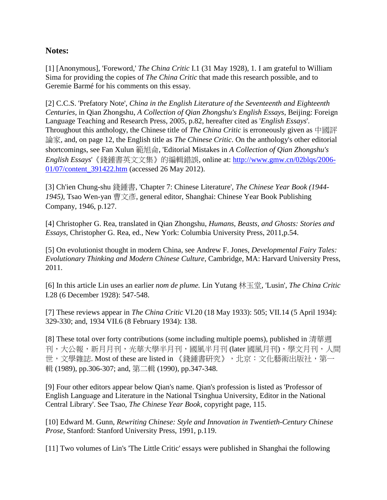#### **Notes:**

[1] [Anonymous], 'Foreword,' *The China Critic* I.1 (31 May 1928), 1. I am grateful to William Sima for providing the copies of *The China Critic* that made this research possible, and to Geremie Barmé for his comments on this essay.

[2] C.C.S. 'Prefatory Note', *China in the English Literature of the Seventeenth and Eighteenth Centuries,* in Qian Zhongshu, *A Collection of Qian Zhongshu's English Essays*, Beijing: Foreign Language Teaching and Research Press, 2005*,* p.82, hereafter cited as '*English Essays*'. Throughout this anthology, the Chinese title of *The China Critic* is erroneously given as 中國評 論家, and, on page 12, the English title as *The Chinese Critic*. On the anthology's other editorial shortcomings, see Fan Xulun 範旭侖, 'Editorial Mistakes in *A Collection of Qian Zhongshu's English Essays*'《錢鍾書英文文集》的編輯錯誤, online at: [http://www.gmw.cn/02blqs/2006-](http://www.gmw.cn/02blqs/2006-01/07/content_391422.htm) [01/07/content\\_391422.htm](http://www.gmw.cn/02blqs/2006-01/07/content_391422.htm) (accessed 26 May 2012).

[3] Ch'ien Chung-shu 錢鍾書, 'Chapter 7: Chinese Literature', *The Chinese Year Book (1944- 1945)*, Tsao Wen-yan 曹文彥, general editor, Shanghai: Chinese Year Book Publishing Company, 1946, p.127.

[4] Christopher G. Rea, translated in Qian Zhongshu, *Humans, Beasts, and Ghosts: Stories and Essays*, Christopher G. Rea, ed., New York: Columbia University Press, 2011,p.54.

[5] On evolutionist thought in modern China, see Andrew F. Jones, *Developmental Fairy Tales: Evolutionary Thinking and Modern Chinese Culture*, Cambridge, MA: Harvard University Press, 2011.

[6] In this article Lin uses an earlier *nom de plume.* Lin Yutang 林玉堂, 'Lusin', *The China Critic* I.28 (6 December 1928): 547-548.

[7] These reviews appear in *The China Critic* VI.20 (18 May 1933): 505; VII.14 (5 April 1934): 329-330; and, 1934 VII.6 (8 February 1934): 138.

[8] These total over forty contributions (some including multiple poems), published in 清華週 刊,大公報,新月月刊,光華大學半月刊,國風半月刊 (later 國風月刊),學文月刊,人間 世,文學雜誌. Most of these are listed in 《錢鍾書研究》,北京:文化藝術出版社,第一 輯 (1989), pp.306-307; and, 第二輯 (1990), pp.347-348.

[9] Four other editors appear below Qian's name. Qian's profession is listed as 'Professor of English Language and Literature in the National Tsinghua University, Editor in the National Central Library'. See Tsao, *The Chinese Year Book*, copyright page, 115.

[10] Edward M. Gunn, *Rewriting Chinese: Style and Innovation in Twentieth-Century Chinese Prose*, Stanford: Stanford University Press, 1991, p.119.

[11] Two volumes of Lin's 'The Little Critic' essays were published in Shanghai the following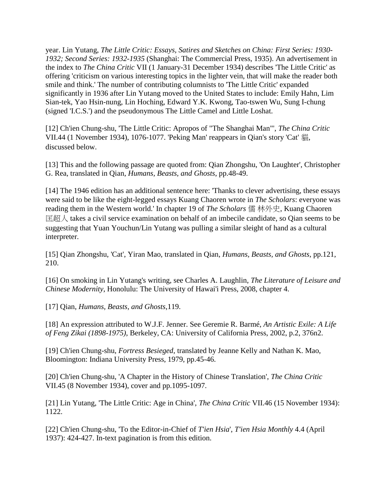year. Lin Yutang, *The Little Critic: Essays, Satires and Sketches on China: First Series: 1930- 1932; Second Series: 1932-1935* (Shanghai: The Commercial Press, 1935). An advertisement in the index to *The China Critic* VII (1 January-31 December 1934) describes 'The Little Critic' as offering 'criticism on various interesting topics in the lighter vein, that will make the reader both smile and think.' The number of contributing columnists to 'The Little Critic' expanded significantly in 1936 after Lin Yutang moved to the United States to include: Emily Hahn, Lim Sian-tek, Yao Hsin-nung, Lin Hoching, Edward Y.K. Kwong, Tao-tswen Wu, Sung I-chung (signed 'I.C.S.') and the pseudonymous The Little Camel and Little Loshat.

[12] Ch'ien Chung-shu, 'The Little Critic: Apropos of "The Shanghai Man"', *The China Critic* VII.44 (1 November 1934), 1076-1077. 'Peking Man' reappears in Qian's story 'Cat' 貓, discussed below.

[13] This and the following passage are quoted from: Qian Zhongshu, 'On Laughter', Christopher G. Rea, translated in Qian, *Humans, Beasts, and Ghosts*, pp.48-49.

[14] The 1946 edition has an additional sentence here: 'Thanks to clever advertising, these essays were said to be like the eight-legged essays Kuang Chaoren wrote in *The Scholars*: everyone was reading them in the Western world.' In chapter 19 of *The Scholars* 儒 林外史, Kuang Chaoren 匡超人 takes a civil service examination on behalf of an imbecile candidate, so Qian seems to be suggesting that Yuan Youchun/Lin Yutang was pulling a similar sleight of hand as a cultural interpreter.

[15] Qian Zhongshu, 'Cat', Yiran Mao, translated in Qian, *Humans, Beasts, and Ghosts*, pp.121, 210.

[16] On smoking in Lin Yutang's writing, see Charles A. Laughlin, *The Literature of Leisure and Chinese Modernity*, Honolulu: The University of Hawai'i Press, 2008, chapter 4.

[17] Qian, *Humans, Beasts, and Ghosts*,119.

[18] An expression attributed to W.J.F. Jenner. See Geremie R. Barmé, *An Artistic Exile: A Life of Feng Zikai (1898-1975)*, Berkeley, CA: University of California Press, 2002, p.2, 376n2.

[19] Ch'ien Chung-shu, *Fortress Besieged*, translated by Jeanne Kelly and Nathan K. Mao, Bloomington: Indiana University Press, 1979, pp.45-46.

[20] Ch'ien Chung-shu, 'A Chapter in the History of Chinese Translation', *The China Critic* VII.45 (8 November 1934), cover and pp.1095-1097.

[21] Lin Yutang, 'The Little Critic: Age in China', *The China Critic* VII.46 (15 November 1934): 1122.

[22] Ch'ien Chung-shu, 'To the Editor-in-Chief of *T'ien Hsia*', *T'ien Hsia Monthly* 4.4 (April 1937): 424-427. In-text pagination is from this edition.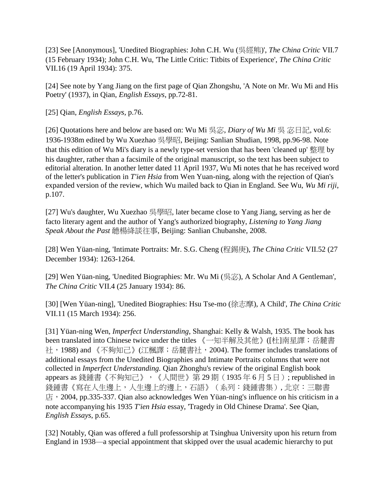[23] See [Anonymous], 'Unedited Biographies: John C.H. Wu (吳經熊)', *The China Critic* VII.7 (15 February 1934); John C.H. Wu, 'The Little Critic: Titbits of Experience', *The China Critic*  VII.16 (19 April 1934): 375.

[24] See note by Yang Jiang on the first page of Qian Zhongshu, 'A Note on Mr. Wu Mi and His Poetry' (1937), in Qian, *English Essays*, pp.72-81.

[25] Qian, *English Essays*, p.76.

[26] Quotations here and below are based on: Wu Mi 吳宓, *Diary of Wu Mi* 吳 宓日記, vol.6: 1936-1938m edited by Wu Xuezhao 吳學昭, Beijing: Sanlian Shudian, 1998, pp.96-98. Note that this edition of Wu Mi's diary is a newly type-set version that has been 'cleaned up' 整理 by his daughter, rather than a facsimile of the original manuscript, so the text has been subject to editorial alteration. In another letter dated 11 April 1937, Wu Mi notes that he has received word of the letter's publication in *T'ien Hsia* from Wen Yuan-ning, along with the rejection of Qian's expanded version of the review, which Wu mailed back to Qian in England. See Wu, *Wu Mi riji*, p.107.

[27] Wu's daughter, Wu Xuezhao 吳學昭, later became close to Yang Jiang, serving as her de facto literary agent and the author of Yang's authorized biography, *Listening to Yang Jiang Speak About the Past* 聼楊絳談往事, Beijing: Sanlian Chubanshe, 2008.

[28] Wen Yüan-ning, 'Intimate Portraits: Mr. S.G. Cheng (程錫庚), *The China Critic* VII.52 (27 December 1934): 1263-1264.

[29] Wen Yüan-ning, 'Unedited Biographies: Mr. Wu Mi (吳宓), A Scholar And A Gentleman', *The China Critic* VII.4 (25 January 1934): 86.

[30] [Wen Yüan-ning], 'Unedited Biographies: Hsu Tse-mo (徐志摩), A Child', *The China Critic* VII.11 (15 March 1934): 256.

[31] Yüan-ning Wen, *Imperfect Understanding*, Shanghai: Kelly & Walsh, 1935. The book has been translated into Chinese twice under the titles 《一知半解及其他》([杜]南星譯;岳麓書 社,1988) and 《不夠知己》(江楓譯;岳麓書社,2004). The former includes translations of additional essays from the Unedited Biographies and Intimate Portraits columns that were not collected in *Imperfect Understanding.* Qian Zhonghu's review of the original English book appears as 錢鍾書《不夠知己》, 《人間世》第 29 期 (1935年6月5日); republished in 錢鍾書《寫在人生邊上,人生邊上的邊上,石語》(系列:錢鍾書集), 北京:三聯書 店,2004, pp.335-337. Qian also acknowledges Wen Yüan-ning's influence on his criticism in a note accompanying his 1935 *T'ien Hsia* essay, 'Tragedy in Old Chinese Drama'. See Qian, *English Essays*, p.65.

[32] Notably, Qian was offered a full professorship at Tsinghua University upon his return from England in 1938—a special appointment that skipped over the usual academic hierarchy to put